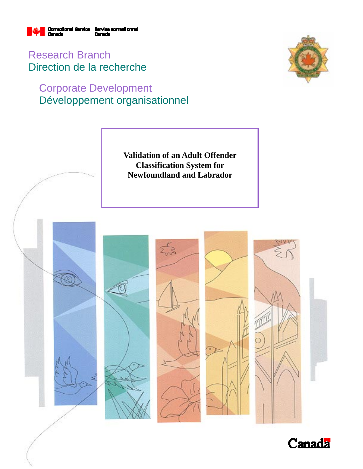

Research Branch Direction de la recherche

# Corporate Development Développement organisationnel





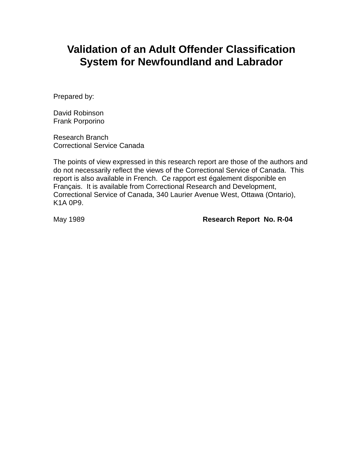# **Validation of an Adult Offender Classification System for Newfoundland and Labrador**

Prepared by:

David Robinson Frank Porporino

Research Branch Correctional Service Canada

The points of view expressed in this research report are those of the authors and do not necessarily reflect the views of the Correctional Service of Canada. This report is also available in French. Ce rapport est également disponible en Français. It is available from Correctional Research and Development, Correctional Service of Canada, 340 Laurier Avenue West, Ottawa (Ontario), K1A 0P9.

May 1989 **Research Report No. R-04**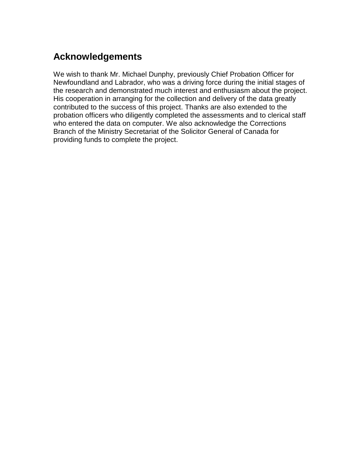# **Acknowledgements**

We wish to thank Mr. Michael Dunphy, previously Chief Probation Officer for Newfoundland and Labrador, who was a driving force during the initial stages of the research and demonstrated much interest and enthusiasm about the project. His cooperation in arranging for the collection and delivery of the data greatly contributed to the success of this project. Thanks are also extended to the probation officers who diligently completed the assessments and to clerical staff who entered the data on computer. We also acknowledge the Corrections Branch of the Ministry Secretariat of the Solicitor General of Canada for providing funds to complete the project.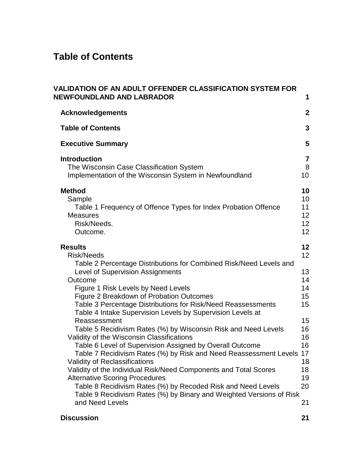# **Table of Contents**

| VALIDATION OF AN ADULT OFFENDER CLASSIFICATION SYSTEM FOR<br><b>NEWFOUNDLAND AND LABRADOR</b>                                                                                                                                                                                                                                                                                                                                                                                                                                                                                                                                                                                                                                                                                                                                                                                                                                                                       | 1                                                                                            |
|---------------------------------------------------------------------------------------------------------------------------------------------------------------------------------------------------------------------------------------------------------------------------------------------------------------------------------------------------------------------------------------------------------------------------------------------------------------------------------------------------------------------------------------------------------------------------------------------------------------------------------------------------------------------------------------------------------------------------------------------------------------------------------------------------------------------------------------------------------------------------------------------------------------------------------------------------------------------|----------------------------------------------------------------------------------------------|
| <b>Acknowledgements</b>                                                                                                                                                                                                                                                                                                                                                                                                                                                                                                                                                                                                                                                                                                                                                                                                                                                                                                                                             | $\mathbf{2}$                                                                                 |
| <b>Table of Contents</b>                                                                                                                                                                                                                                                                                                                                                                                                                                                                                                                                                                                                                                                                                                                                                                                                                                                                                                                                            | 3                                                                                            |
| <b>Executive Summary</b>                                                                                                                                                                                                                                                                                                                                                                                                                                                                                                                                                                                                                                                                                                                                                                                                                                                                                                                                            | 5                                                                                            |
| <b>Introduction</b><br>The Wisconsin Case Classification System<br>Implementation of the Wisconsin System in Newfoundland                                                                                                                                                                                                                                                                                                                                                                                                                                                                                                                                                                                                                                                                                                                                                                                                                                           | $\overline{7}$<br>8<br>10                                                                    |
| <b>Method</b><br>Sample<br>Table 1 Frequency of Offence Types for Index Probation Offence<br><b>Measures</b><br>Risk/Needs.<br>Outcome.                                                                                                                                                                                                                                                                                                                                                                                                                                                                                                                                                                                                                                                                                                                                                                                                                             | 10<br>10<br>11<br>12<br>12<br>12                                                             |
| <b>Results</b><br><b>Risk/Needs</b><br>Table 2 Percentage Distributions for Combined Risk/Need Levels and<br><b>Level of Supervision Assignments</b><br>Outcome<br>Figure 1 Risk Levels by Need Levels<br>Figure 2 Breakdown of Probation Outcomes<br>Table 3 Percentage Distributions for Risk/Need Reassessments<br>Table 4 Intake Supervision Levels by Supervision Levels at<br>Reassessment<br>Table 5 Recidivism Rates (%) by Wisconsin Risk and Need Levels<br>Validity of the Wisconsin Classifications<br>Table 6 Level of Supervision Assigned by Overall Outcome<br>Table 7 Recidivism Rates (%) by Risk and Need Reassessment Levels 17<br><b>Validity of Reclassifications</b><br>Validity of the Individual Risk/Need Components and Total Scores<br><b>Alternative Scoring Procedures</b><br>Table 8 Recidivism Rates (%) by Recoded Risk and Need Levels<br>Table 9 Recidivism Rates (%) by Binary and Weighted Versions of Risk<br>and Need Levels | 12<br>12<br>13<br>14<br>14<br>15<br>15<br>15<br>16<br>16<br>16<br>18<br>18<br>19<br>20<br>21 |
| <b>Discussion</b>                                                                                                                                                                                                                                                                                                                                                                                                                                                                                                                                                                                                                                                                                                                                                                                                                                                                                                                                                   | 21                                                                                           |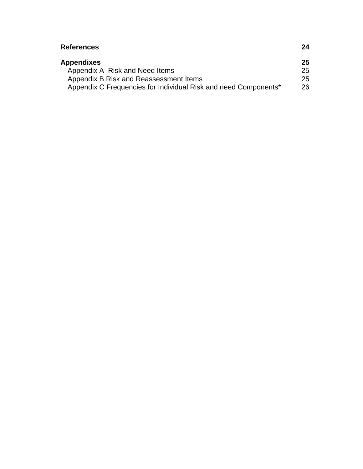| <b>References</b>                                               | 24  |
|-----------------------------------------------------------------|-----|
| <b>Appendixes</b>                                               | 25  |
| Appendix A Risk and Need Items                                  | 25  |
| Appendix B Risk and Reassessment Items                          | 25  |
| Appendix C Frequencies for Individual Risk and need Components* | 26. |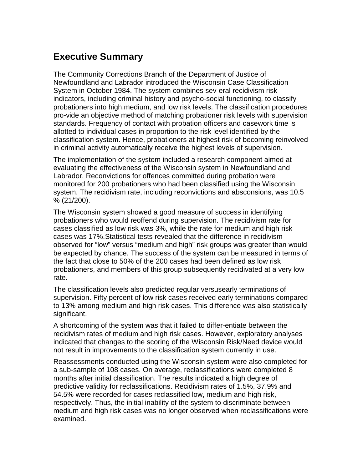# **Executive Summary**

The Community Corrections Branch of the Department of Justice of Newfoundland and Labrador introduced the Wisconsin Case Classification System in October 1984. The system combines sev-eral recidivism risk indicators, including criminal history and psycho-social functioning, to classify probationers into high,medium, and low risk levels. The classification procedures pro-vide an objective method of matching probationer risk levels with supervision standards. Frequency of contact with probation officers and casework time is allotted to individual cases in proportion to the risk level identified by the classification system. Hence, probationers at highest risk of becoming reinvolved in criminal activity automatically receive the highest levels of supervision.

The implementation of the system included a research component aimed at evaluating the effectiveness of the Wisconsin system in Newfoundland and Labrador. Reconvictions for offences committed during probation were monitored for 200 probationers who had been classified using the Wisconsin system. The recidivism rate, including reconvictions and absconsions, was 10.5 % (21/200).

The Wisconsin system showed a good measure of success in identifying probationers who would reoffend during supervision. The recidivism rate for cases classified as low risk was 3%, while the rate for medium and high risk cases was 17%.Statistical tests revealed that the difference in recidivism observed for "low" versus "medium and high" risk groups was greater than would be expected by chance. The success of the system can be measured in terms of the fact that close to 50% of the 200 cases had been defined as low risk probationers, and members of this group subsequently recidivated at a very low rate.

The classification levels also predicted regular versusearly terminations of supervision. Fifty percent of low risk cases received early terminations compared to 13% among medium and high risk cases. This difference was also statistically significant.

A shortcoming of the system was that it failed to differ-entiate between the recidivism rates of medium and high risk cases. However, exploratory analyses indicated that changes to the scoring of the Wisconsin Risk/Need device would not result in improvements to the classification system currently in use.

Reassessments conducted using the Wisconsin system were also completed for a sub-sample of 108 cases. On average, reclassifications were completed 8 months after initial classification. The results indicated a high degree of predictive validity for reclassifications. Recidivism rates of 1.5%, 37.9% and 54.5% were recorded for cases reclassified low, medium and high risk, respectively. Thus, the initial inability of the system to discriminate between medium and high risk cases was no longer observed when reclassifications were examined.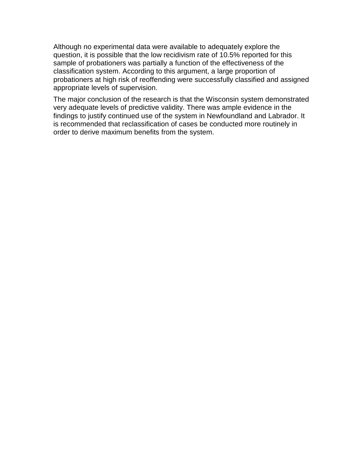Although no experimental data were available to adequately explore the question, it is possible that the low recidivism rate of 10.5% reported for this sample of probationers was partially a function of the effectiveness of the classification system. According to this argument, a large proportion of probationers at high risk of reoffending were successfully classified and assigned appropriate levels of supervision.

The major conclusion of the research is that the Wisconsin system demonstrated very adequate levels of predictive validity. There was ample evidence in the findings to justify continued use of the system in Newfoundland and Labrador. It is recommended that reclassification of cases be conducted more routinely in order to derive maximum benefits from the system.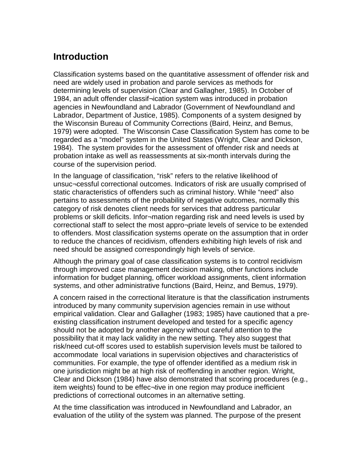# **Introduction**

Classification systems based on the quantitative assessment of offender risk and need are widely used in probation and parole services as methods for determining levels of supervision (Clear and Gallagher, 1985). In October of 1984, an adult offender classif¬ication system was introduced in probation agencies in Newfoundland and Labrador (Government of Newfoundland and Labrador, Department of Justice, 1985). Components of a system designed by the Wisconsin Bureau of Community Corrections (Baird, Heinz, and Bemus, 1979) were adopted. The Wisconsin Case Classification System has come to be regarded as a "model" system in the United States (Wright, Clear and Dickson, 1984). The system provides for the assessment of offender risk and needs at probation intake as well as reassessments at six-month intervals during the course of the supervision period.

In the language of classification, "risk" refers to the relative likelihood of unsuc¬cessful correctional outcomes. Indicators of risk are usually comprised of static characteristics of offenders such as criminal history. While "need" also pertains to assessments of the probability of negative outcomes, normally this category of risk denotes client needs for services that address particular problems or skill deficits. Infor¬mation regarding risk and need levels is used by correctional staff to select the most appro¬priate levels of service to be extended to offenders. Most classification systems operate on the assumption that in order to reduce the chances of recidivism, offenders exhibiting high levels of risk and need should be assigned correspondingly high levels of service.

Although the primary goal of case classification systems is to control recidivism through improved case management decision making, other functions include information for budget planning, officer workload assignments, client information systems, and other administrative functions (Baird, Heinz, and Bemus, 1979).

A concern raised in the correctional literature is that the classification instruments introduced by many community supervision agencies remain in use without empirical validation. Clear and Gallagher (1983; 1985) have cautioned that a preexisting classification instrument developed and tested for a specific agency should not be adopted by another agency without careful attention to the possibility that it may lack validity in the new setting. They also suggest that risk/need cut-off scores used to establish supervision levels must be tailored to accommodate local variations in supervision objectives and characteristics of communities. For example, the type of offender identified as a medium risk in one jurisdiction might be at high risk of reoffending in another region. Wright, Clear and Dickson (1984) have also demonstrated that scoring procedures (e.g., item weights) found to be effec¬tive in one region may produce inefficient predictions of correctional outcomes in an alternative setting.

At the time classification was introduced in Newfoundland and Labrador, an evaluation of the utility of the system was planned. The purpose of the present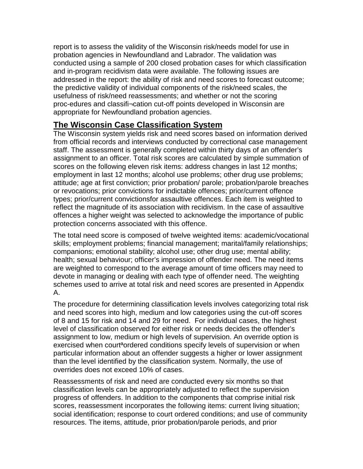report is to assess the validity of the Wisconsin risk/needs model for use in probation agencies in Newfoundland and Labrador. The validation was conducted using a sample of 200 closed probation cases for which classification and in-program recidivism data were available. The following issues are addressed in the report: the ability of risk and need scores to forecast outcome; the predictive validity of individual components of the risk/need scales, the usefulness of risk/need reassessments; and whether or not the scoring proc-edures and classifi¬cation cut-off points developed in Wisconsin are appropriate for Newfoundland probation agencies.

### **The Wisconsin Case Classification System**

The Wisconsin system yields risk and need scores based on information derived from official records and interviews conducted by correctional case management staff. The assessment is generally completed within thirty days of an offender's assignment to an officer. Total risk scores are calculated by simple summation of scores on the following eleven risk items: address changes in last 12 months; employment in last 12 months; alcohol use problems; other drug use problems; attitude; age at first conviction; prior probation/ parole; probation/parole breaches or revocations; prior convictions for indictable offences; prior/current offence types; prior/current convictionsfor assaultive offences. Each item is weighted to reflect the magnitude of its association with recidivism. In the case of assaultive offences a higher weight was selected to acknowledge the importance of public protection concerns associated with this offence.

The total need score is composed of twelve weighted items: academic/vocational skills; employment problems; financial management; marital/family relationships; companions; emotional stability; alcohol use; other drug use; mental ability; health; sexual behaviour; officer's impression of offender need. The need items are weighted to correspond to the average amount of time officers may need to devote in managing or dealing with each type of offender need. The weighting schemes used to arrive at total risk and need scores are presented in Appendix A.

The procedure for determining classification levels involves categorizing total risk and need scores into high, medium and low categories using the cut-off scores of 8 and 15 for risk and 14 and 29 for need. For individual cases, the highest level of classification observed for either risk or needs decides the offender's assignment to low, medium or high levels of supervision. An override option is exercised when court<sup>a</sup>ordered conditions specify levels of supervision or when particular information about an offender suggests a higher or lower assignment than the level identified by the classification system. Normally, the use of overrides does not exceed 10% of cases.

Reassessments of risk and need are conducted every six months so that classification levels can be appropriately adjusted to reflect the supervision progress of offenders. In addition to the components that comprise initial risk scores, reassessment incorporates the following items: current living situation; social identification; response to court ordered conditions; and use of community resources. The items, attitude, prior probation/parole periods, and prior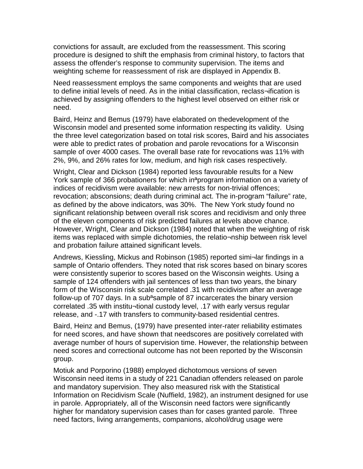convictions for assault, are excluded from the reassessment. This scoring procedure is designed to shift the emphasis from criminal history, to factors that assess the offender's response to community supervision. The items and weighting scheme for reassessment of risk are displayed in Appendix B.

Need reassessment employs the same components and weights that are used to define initial levels of need. As in the initial classification, reclass¬ification is achieved by assigning offenders to the highest level observed on either risk or need.

Baird, Heinz and Bemus (1979) have elaborated on thedevelopment of the Wisconsin model and presented some information respecting its validity. Using the three level categorization based on total risk scores, Baird and his associates were able to predict rates of probation and parole revocations for a Wisconsin sample of over 4000 cases. The overall base rate for revocations was 11% with 2%, 9%, and 26% rates for low, medium, and high risk cases respectively.

Wright, Clear and Dickson (1984) reported less favourable results for a New York sample of 366 probationers for which inªprogram information on a variety of indices of recidivism were available: new arrests for non-trivial offences; revocation; absconsions; death during criminal act. The in-program "failure" rate, as defined by the above indicators, was 30%. The New York study found no significant relationship between overall risk scores and recidivism and only three of the eleven components of risk predicted failures at levels above chance. However, Wright, Clear and Dickson (1984) noted that when the weighting of risk items was replaced with simple dichotomies, the relatio¬nship between risk level and probation failure attained significant levels.

Andrews, Kiessling, Mickus and Robinson (1985) reported simi¬lar findings in a sample of Ontario offenders. They noted that risk scores based on binary scores were consistently superior to scores based on the Wisconsin weights. Using a sample of 124 offenders with jail sentences of less than two years, the binary form of the Wisconsin risk scale correlated .31 with recidivism after an average follow-up of 707 days. In a subªsample of 87 incarcerates the binary version correlated .35 with institu¬tional custody level, .17 with early versus regular release, and -.17 with transfers to community-based residential centres.

Baird, Heinz and Bemus, (1979) have presented inter-rater reliability estimates for need scores, and have shown that needscores are positively correlated with average number of hours of supervision time. However, the relationship between need scores and correctional outcome has not been reported by the Wisconsin group.

Motiuk and Porporino (1988) employed dichotomous versions of seven Wisconsin need items in a study of 221 Canadian offenders released on parole and mandatory supervision. They also measured risk with the Statistical Information on Recidivism Scale (Nuffield, 1982), an instrument designed for use in parole. Appropriately, all of the Wisconsin need factors were significantly higher for mandatory supervision cases than for cases granted parole. Three need factors, living arrangements, companions, alcohol/drug usage were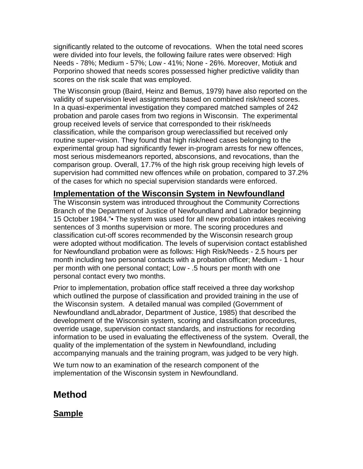significantly related to the outcome of revocations. When the total need scores were divided into four levels, the following failure rates were observed: High Needs - 78%; Medium - 57%; Low - 41%; None - 26%. Moreover, Motiuk and Porporino showed that needs scores possessed higher predictive validity than scores on the risk scale that was employed.

The Wisconsin group (Baird, Heinz and Bemus, 1979) have also reported on the validity of supervision level assignments based on combined risk/need scores. In a quasi-experimental investigation they compared matched samples of 242 probation and parole cases from two regions in Wisconsin. The experimental group received levels of service that corresponded to their risk/needs classification, while the comparison group wereclassified but received only routine super¬vision. They found that high risk/need cases belonging to the experimental group had significantly fewer in-program arrests for new offences, most serious misdemeanors reported, absconsions, and revocations, than the comparison group. Overall, 17.7% of the high risk group receiving high levels of supervision had committed new offences while on probation, compared to 37.2% of the cases for which no special supervision standards were enforced.

### **Implementation of the Wisconsin System in Newfoundland**

The Wisconsin system was introduced throughout the Community Corrections Branch of the Department of Justice of Newfoundland and Labrador beginning 15 October 1984."• The system was used for all new probation intakes receiving sentences of 3 months supervision or more. The scoring procedures and classification cut-off scores recommended by the Wisconsin research group were adopted without modification. The levels of supervision contact established for Newfoundland probation were as follows: High Risk/Needs - 2.5 hours per month including two personal contacts with a probation officer; Medium - 1 hour per month with one personal contact; Low - .5 hours per month with one personal contact every two months.

Prior to implementation, probation office staff received a three day workshop which outlined the purpose of classification and provided training in the use of the Wisconsin system. A detailed manual was compiled (Government of Newfoundland andLabrador, Department of Justice, 1985) that described the development of the Wisconsin system, scoring and classification procedures, override usage, supervision contact standards, and instructions for recording information to be used in evaluating the effectiveness of the system. Overall, the quality of the implementation of the system in Newfoundland, including accompanying manuals and the training program, was judged to be very high.

We turn now to an examination of the research component of the implementation of the Wisconsin system in Newfoundland.

### **Method**

### **Sample**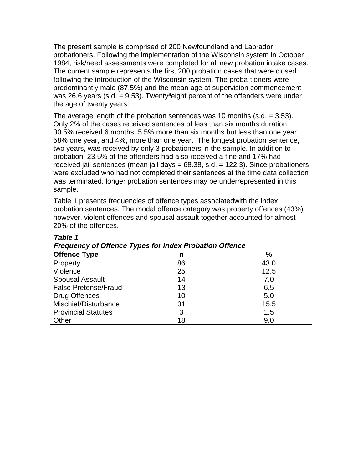The present sample is comprised of 200 Newfoundland and Labrador probationers. Following the implementation of the Wisconsin system in October 1984, risk/need assessments were completed for all new probation intake cases. The current sample represents the first 200 probation cases that were closed following the introduction of the Wisconsin system. The proba-tioners were predominantly male (87.5%) and the mean age at supervision commencement was 26.6 years (s.d.  $= 9.53$ ). Twenty<sup>a</sup>eight percent of the offenders were under the age of twenty years.

The average length of the probation sentences was 10 months (s.d.  $=$  3.53). Only 2% of the cases received sentences of less than six months duration, 30.5% received 6 months, 5.5% more than six months but less than one year, 58% one year, and 4%, more than one year. The longest probation sentence, two years, was received by only 3 probationers in the sample. In addition to probation, 23.5% of the offenders had also received a fine and 17% had received jail sentences (mean jail days  $= 68.38$ , s.d.  $= 122.3$ ). Since probationers were excluded who had not completed their sentences at the time data collection was terminated, longer probation sentences may be underrepresented in this sample.

Table 1 presents frequencies of offence types associatedwith the index probation sentences. The modal offence category was property offences (43%), however, violent offences and spousal assault together accounted for almost 20% of the offences.

| <b>The quency of Onence Types for Index Frobation Onence</b> |    |               |  |
|--------------------------------------------------------------|----|---------------|--|
| <b>Offence Type</b>                                          | n  | $\frac{9}{6}$ |  |
| Property                                                     | 86 | 43.0          |  |
| Violence                                                     | 25 | 12.5          |  |
| <b>Spousal Assault</b>                                       | 14 | 7.0           |  |
| <b>False Pretense/Fraud</b>                                  | 13 | 6.5           |  |
| Drug Offences                                                | 10 | 5.0           |  |
| Mischief/Disturbance                                         | 31 | 15.5          |  |
| <b>Provincial Statutes</b>                                   | 3  | 1.5           |  |
| Other                                                        | 18 | 9.0           |  |

#### **Table 1 Frequency of Offence Types for Index Probation Offence**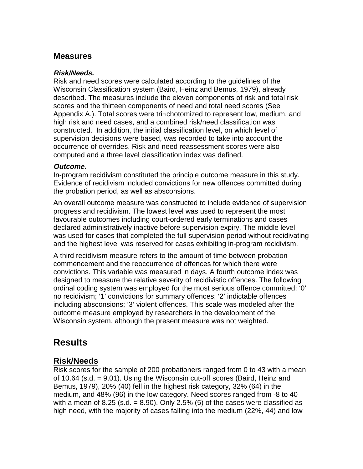### **Measures**

#### **Risk/Needs.**

Risk and need scores were calculated according to the guidelines of the Wisconsin Classification system (Baird, Heinz and Bemus, 1979), already described. The measures include the eleven components of risk and total risk scores and the thirteen components of need and total need scores (See Appendix A.). Total scores were tri¬chotomized to represent low, medium, and high risk and need cases, and a combined risk/need classification was constructed. In addition, the initial classification level, on which level of supervision decisions were based, was recorded to take into account the occurrence of overrides. Risk and need reassessment scores were also computed and a three level classification index was defined.

#### **Outcome.**

In-program recidivism constituted the principle outcome measure in this study. Evidence of recidivism included convictions for new offences committed during the probation period, as well as absconsions.

An overall outcome measure was constructed to include evidence of supervision progress and recidivism. The lowest level was used to represent the most favourable outcomes including court-ordered early terminations and cases declared administratively inactive before supervision expiry. The middle level was used for cases that completed the full supervision period without recidivating and the highest level was reserved for cases exhibiting in-program recidivism.

A third recidivism measure refers to the amount of time between probation commencement and the reoccurrence of offences for which there were convictions. This variable was measured in days. A fourth outcome index was designed to measure the relative severity of recidivistic offences. The following ordinal coding system was employed for the most serious offence committed: '0' no recidivism; '1' convictions for summary offences; '2' indictable offences including absconsions; '3' violent offences. This scale was modeled after the outcome measure employed by researchers in the development of the Wisconsin system, although the present measure was not weighted.

### **Results**

### **Risk/Needs**

Risk scores for the sample of 200 probationers ranged from 0 to 43 with a mean of 10.64 (s.d. = 9.01). Using the Wisconsin cut-off scores (Baird, Heinz and Bemus, 1979), 20% (40) fell in the highest risk category, 32% (64) in the medium, and 48% (96) in the low category. Need scores ranged from -8 to 40 with a mean of 8.25 (s.d.  $= 8.90$ ). Only 2.5% (5) of the cases were classified as high need, with the majority of cases falling into the medium (22%, 44) and low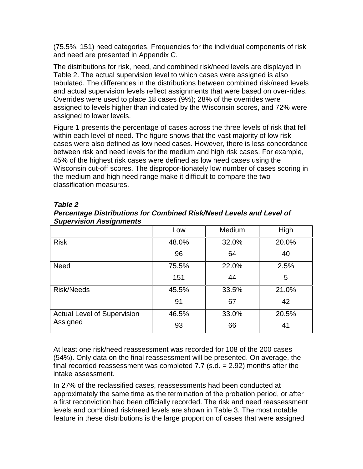(75.5%, 151) need categories. Frequencies for the individual components of risk and need are presented in Appendix C.

The distributions for risk, need, and combined risk/need levels are displayed in Table 2. The actual supervision level to which cases were assigned is also tabulated. The differences in the distributions between combined risk/need levels and actual supervision levels reflect assignments that were based on over-rides. Overrides were used to place 18 cases (9%); 28% of the overrides were assigned to levels higher than indicated by the Wisconsin scores, and 72% were assigned to lower levels.

Figure 1 presents the percentage of cases across the three levels of risk that fell within each level of need. The figure shows that the vast majority of low risk cases were also defined as low need cases. However, there is less concordance between risk and need levels for the medium and high risk cases. For example, 45% of the highest risk cases were defined as low need cases using the Wisconsin cut-off scores. The dispropor-tionately low number of cases scoring in the medium and high need range make it difficult to compare the two classification measures.

| ັ                                  | Low   | Medium | High  |
|------------------------------------|-------|--------|-------|
| <b>Risk</b>                        | 48.0% | 32.0%  | 20.0% |
|                                    | 96    | 64     | 40    |
| <b>Need</b>                        | 75.5% | 22.0%  | 2.5%  |
|                                    | 151   | 44     | 5     |
| <b>Risk/Needs</b>                  | 45.5% | 33.5%  | 21.0% |
|                                    | 91    | 67     | 42    |
| <b>Actual Level of Supervision</b> | 46.5% | 33.0%  | 20.5% |
| Assigned                           | 93    | 66     | 41    |

#### **Table 2 Percentage Distributions for Combined Risk/Need Levels and Level of Supervision Assignments**

At least one risk/need reassessment was recorded for 108 of the 200 cases (54%). Only data on the final reassessment will be presented. On average, the final recorded reassessment was completed  $7.7$  (s.d. = 2.92) months after the intake assessment.

In 27% of the reclassified cases, reassessments had been conducted at approximately the same time as the termination of the probation period, or after a first reconviction had been officially recorded. The risk and need reassessment levels and combined risk/need levels are shown in Table 3. The most notable feature in these distributions is the large proportion of cases that were assigned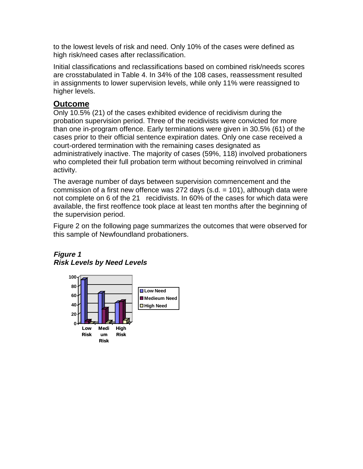to the lowest levels of risk and need. Only 10% of the cases were defined as high risk/need cases after reclassification.

Initial classifications and reclassifications based on combined risk/needs scores are crosstabulated in Table 4. In 34% of the 108 cases, reassessment resulted in assignments to lower supervision levels, while only 11% were reassigned to higher levels.

### **Outcome**

Only 10.5% (21) of the cases exhibited evidence of recidivism during the probation supervision period. Three of the recidivists were convicted for more than one in-program offence. Early terminations were given in 30.5% (61) of the cases prior to their official sentence expiration dates. Only one case received a court-ordered termination with the remaining cases designated as administratively inactive. The majority of cases (59%, 118) involved probationers who completed their full probation term without becoming reinvolved in criminal activity.

The average number of days between supervision commencement and the commission of a first new offence was 272 days (s.d.  $= 101$ ), although data were not complete on 6 of the 21 recidivists. In 60% of the cases for which data were available, the first reoffence took place at least ten months after the beginning of the supervision period.

Figure 2 on the following page summarizes the outcomes that were observed for this sample of Newfoundland probationers.



### **Figure 1 Risk Levels by Need Levels**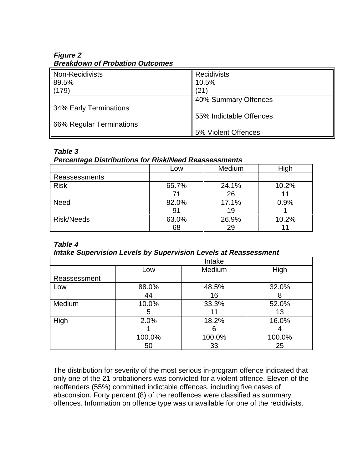#### **Figure 2 Breakdown of Probation Outcomes**

| Non-Recidivists          | <b>Recidivists</b>      |
|--------------------------|-------------------------|
| 89.5%                    | 10.5%                   |
| (179)                    | (21)                    |
|                          | 40% Summary Offences    |
| 34% Early Terminations   |                         |
|                          | 55% Indictable Offences |
| 66% Regular Terminations |                         |
|                          | 5% Violent Offences     |

#### **Table 3**

#### **Percentage Distributions for Risk/Need Reassessments**

| --- 2             |       |        |       |
|-------------------|-------|--------|-------|
|                   | Low   | Medium | High  |
| Reassessments     |       |        |       |
| <b>Risk</b>       | 65.7% | 24.1%  | 10.2% |
|                   | 71    | 26     |       |
| <b>Need</b>       | 82.0% | 17.1%  | 0.9%  |
|                   | 91    | 19     |       |
| <b>Risk/Needs</b> | 63.0% | 26.9%  | 10.2% |
|                   | 68    | 29     |       |

#### **Table 4**

#### **Intake Supervision Levels by Supervision Levels at Reassessment**

|              |        | Intake |        |
|--------------|--------|--------|--------|
|              | Low    | Medium | High   |
| Reassessment |        |        |        |
| Low          | 88.0%  | 48.5%  | 32.0%  |
|              | 44     | 16     |        |
| Medium       | 10.0%  | 33.3%  | 52.0%  |
|              | 5      |        | 13     |
| High         | 2.0%   | 18.2%  | 16.0%  |
|              |        | 6      |        |
|              | 100.0% | 100.0% | 100.0% |
|              | 50     | 33     | 25     |

The distribution for severity of the most serious in-program offence indicated that only one of the 21 probationers was convicted for a violent offence. Eleven of the reoffenders (55%) committed indictable offences, including five cases of absconsion. Forty percent (8) of the reoffences were classified as summary offences. Information on offence type was unavailable for one of the recidivists.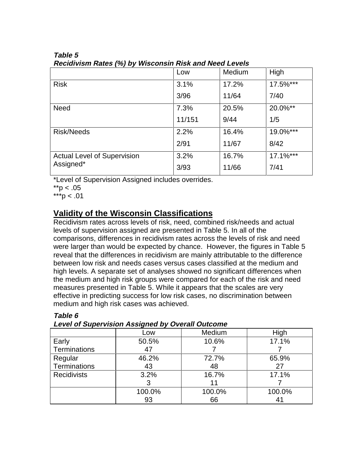|                                    | Low    | Medium | High        |
|------------------------------------|--------|--------|-------------|
| <b>Risk</b>                        | 3.1%   | 17.2%  | 17.5%***    |
|                                    | 3/96   | 11/64  | 7/40        |
| <b>Need</b>                        | 7.3%   | 20.5%  | 20.0%**     |
|                                    | 11/151 | 9/44   | 1/5         |
| <b>Risk/Needs</b>                  | 2.2%   | 16.4%  | 19.0%***    |
|                                    | 2/91   | 11/67  | 8/42        |
| <b>Actual Level of Supervision</b> | 3.2%   | 16.7%  | $17.1\%***$ |
| Assigned*                          | 3/93   | 11/66  | 7/41        |

#### **Table 5 Recidivism Rates (%) by Wisconsin Risk and Need Levels**

\*Level of Supervision Assigned includes overrides.

 $*$ *r* $> 0.05$ 

\*\*\*p < .01

### **Validity of the Wisconsin Classifications**

Recidivism rates across levels of risk, need, combined risk/needs and actual levels of supervision assigned are presented in Table 5. In all of the comparisons, differences in recidivism rates across the levels of risk and need were larger than would be expected by chance. However, the figures in Table 5 reveal that the differences in recidivism are mainly attributable to the difference between low risk and needs cases versus cases classified at the medium and high levels. A separate set of analyses showed no significant differences when the medium and high risk groups were compared for each of the risk and need measures presented in Table 5. While it appears that the scales are very effective in predicting success for low risk cases, no discrimination between medium and high risk cases was achieved.

| Level of Jupervision Assigned by Overall Outcome |        |        |        |
|--------------------------------------------------|--------|--------|--------|
|                                                  | Low    | Medium | High   |
| Early                                            | 50.5%  | 10.6%  | 17.1%  |
| Terminations                                     | 47     |        |        |
| Regular                                          | 46.2%  | 72.7%  | 65.9%  |
| <b>Terminations</b>                              | 43     | 48     | 27     |
| <b>Recidivists</b>                               | 3.2%   | 16.7%  | 17.1%  |
|                                                  | 3      | 11     |        |
|                                                  | 100.0% | 100.0% | 100.0% |
|                                                  | 93     | 66     |        |

### **Table 6**

**Level of Supervision Assigned by Overall Outcome**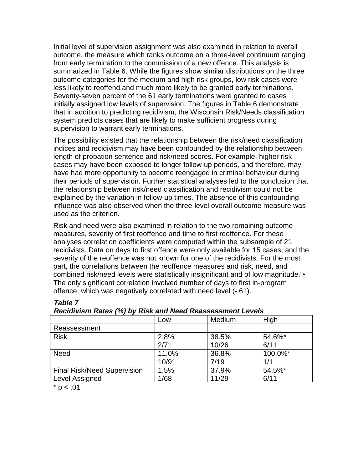Initial level of supervision assignment was also examined in relation to overall outcome, the measure which ranks outcome on a three-level continuum ranging from early termination to the commission of a new offence. This analysis is summarized in Table 6. While the figures show similar distributions on the three outcome categories for the medium and high risk groups, low risk cases were less likely to reoffend and much more likely to be granted early terminations. Seventy-seven percent of the 61 early terminations were granted to cases initially assigned low levels of supervision. The figures in Table 6 demonstrate that in addition to predicting recidivism, the Wisconsin Risk/Needs classification system predicts cases that are likely to make sufficient progress during supervision to warrant early terminations.

The possibility existed that the relationship between the risk/need classification indices and recidivism may have been confounded by the relationship between length of probation sentence and risk/need scores. For example, higher risk cases may have been exposed to longer follow-up periods, and therefore, may have had more opportunity to become reengaged in criminal behaviour during their periods of supervision. Further statistical analyses led to the conclusion that the relationship between risk/need classification and recidivism could not be explained by the variation in follow-up times. The absence of this confounding influence was also observed when the three-level overall outcome measure was used as the criterion.

Risk and need were also examined in relation to the two remaining outcome measures, severity of first reoffence and time to first reoffence. For these analyses correlation coefficients were computed within the subsample of 21 recidivists. Data on days to first offence were only available for 15 cases, and the severity of the reoffence was not known for one of the recidivists. For the most part, the correlations between the reoffence measures and risk, need, and combined risk/need levels were statistically insignificant and of low magnitude."• The only significant correlation involved number of days to first in-program offence, which was negatively correlated with need level (-.61).

| Low   | Medium | High    |  |
|-------|--------|---------|--|
|       |        |         |  |
| 2.8%  | 38.5%  | 54.6%*  |  |
| 2/71  | 10/26  | 6/11    |  |
| 11.0% | 36.8%  | 100.0%* |  |
| 10/91 | 7/19   | 1/1     |  |
| 1.5%  | 37.9%  | 54.5%*  |  |
| 1/68  | 11/29  | 6/11    |  |
|       |        |         |  |

#### **Table 7 Recidivism Rates (%) by Risk and Need Reassessment Levels**

 $* p < .01$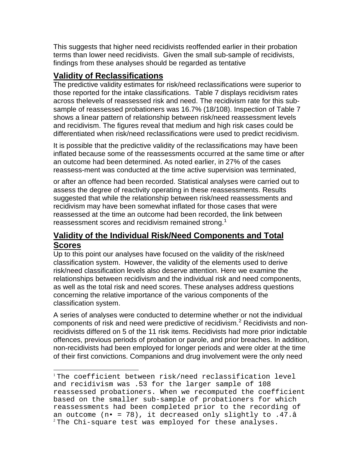This suggests that higher need recidivists reoffended earlier in their probation terms than lower need recidivists. Given the small sub-sample of recidivists, findings from these analyses should be regarded as tentative

### **Validity of Reclassifications**

l

The predictive validity estimates for risk/need reclassifications were superior to those reported for the intake classifications. Table 7 displays recidivism rates across thelevels of reassessed risk and need. The recidivism rate for this subsample of reassessed probationers was 16.7% (18/108). Inspection of Table 7 shows a linear pattern of relationship between risk/need reassessment levels and recidivism. The figures reveal that medium and high risk cases could be differentiated when risk/need reclassifications were used to predict recidivism.

It is possible that the predictive validity of the reclassifications may have been inflated because some of the reassessments occurred at the same time or after an outcome had been determined. As noted earlier, in 27% of the cases reassess-ment was conducted at the time active supervision was terminated,

or after an offence had been recorded. Statistical analyses were carried out to assess the degree of reactivity operating in these reassessments. Results suggested that while the relationship between risk/need reassessments and recidivism may have been somewhat inflated for those cases that were reassessed at the time an outcome had been recorded, the link between reassessment scores and recidivism remained strong. $<sup>1</sup>$ </sup>

### **Validity of the Individual Risk/Need Components and Total Scores**

Up to this point our analyses have focused on the validity of the risk/need classification system. However, the validity of the elements used to derive risk/need classification levels also deserve attention. Here we examine the relationships between recidivism and the individual risk and need components, as well as the total risk and need scores. These analyses address questions concerning the relative importance of the various components of the classification system.

A series of analyses were conducted to determine whether or not the individual components of risk and need were predictive of recidivism.<sup>2</sup> Recidivists and nonrecidivists differed on 5 of the 11 risk items. Recidivists had more prior indictable offences, previous periods of probation or parole, and prior breaches. In addition, non-recidivists had been employed for longer periods and were older at the time of their first convictions. Companions and drug involvement were the only need

<sup>1</sup> The coefficient between risk/need reclassification level and recidivism was .53 for the larger sample of 108 reassessed probationers. When we recomputed the coefficient based on the smaller sub-sample of probationers for which reassessments had been completed prior to the recording of an outcome  $(n - 78)$ , it decreased only slightly to .47.â  $2$ The Chi-square test was employed for these analyses.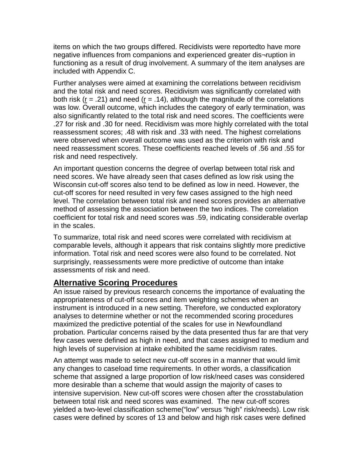items on which the two groups differed. Recidivists were reportedto have more negative influences from companions and experienced greater dis¬ruption in functioning as a result of drug involvement. A summary of the item analyses are included with Appendix C.

Further analyses were aimed at examining the correlations between recidivism and the total risk and need scores. Recidivism was significantly correlated with both risk ( $r = .21$ ) and need ( $r = .14$ ), although the magnitude of the correlations was low. Overall outcome, which includes the category of early termination, was also significantly related to the total risk and need scores. The coefficients were .27 for risk and .30 for need. Recidivism was more highly correlated with the total reassessment scores; .48 with risk and .33 with need. The highest correlations were observed when overall outcome was used as the criterion with risk and need reassessment scores. These coefficients reached levels of .56 and .55 for risk and need respectively.

An important question concerns the degree of overlap between total risk and need scores. We have already seen that cases defined as low risk using the Wisconsin cut-off scores also tend to be defined as low in need. However, the cut-off scores for need resulted in very few cases assigned to the high need level. The correlation between total risk and need scores provides an alternative method of assessing the association between the two indices. The correlation coefficient for total risk and need scores was .59, indicating considerable overlap in the scales.

To summarize, total risk and need scores were correlated with recidivism at comparable levels, although it appears that risk contains slightly more predictive information. Total risk and need scores were also found to be correlated. Not surprisingly, reassessments were more predictive of outcome than intake assessments of risk and need.

### **Alternative Scoring Procedures**

An issue raised by previous research concerns the importance of evaluating the appropriateness of cut-off scores and item weighting schemes when an instrument is introduced in a new setting. Therefore, we conducted exploratory analyses to determine whether or not the recommended scoring procedures maximized the predictive potential of the scales for use in Newfoundland probation. Particular concerns raised by the data presented thus far are that very few cases were defined as high in need, and that cases assigned to medium and high levels of supervision at intake exhibited the same recidivism rates.

An attempt was made to select new cut-off scores in a manner that would limit any changes to caseload time requirements. In other words, a classification scheme that assigned a large proportion of low risk/need cases was considered more desirable than a scheme that would assign the majority of cases to intensive supervision. New cut-off scores were chosen after the crosstabulation between total risk and need scores was examined. The new cut-off scores yielded a two-level classification scheme("low" versus "high" risk/needs). Low risk cases were defined by scores of 13 and below and high risk cases were defined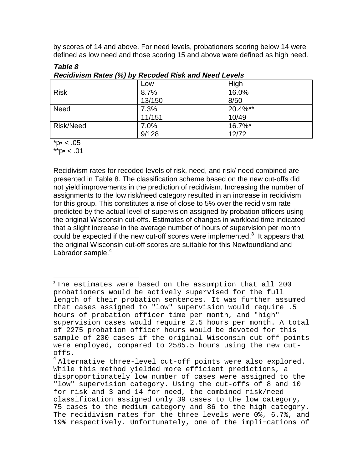by scores of 14 and above. For need levels, probationers scoring below 14 were defined as low need and those scoring 15 and above were defined as high need.

|             | Low    | High    |
|-------------|--------|---------|
| <b>Risk</b> | 8.7%   | 16.0%   |
|             | 13/150 | 8/50    |
| <b>Need</b> | 7.3%   | 20.4%** |
|             | 11/151 | 10/49   |
| Risk/Need   | 7.0%   | 16.7%*  |
|             | 9/128  | 12/72   |

**Table 8 Recidivism Rates (%) by Recoded Risk and Need Levels**

 $*{\rm p\bullet} < .05$ 

 $*^{*}$ p $\bullet$  < .01

Recidivism rates for recoded levels of risk, need, and risk/ need combined are presented in Table 8. The classification scheme based on the new cut-offs did not yield improvements in the prediction of recidivism. Increasing the number of assignments to the low risk/need category resulted in an increase in recidivism for this group. This constitutes a rise of close to 5% over the recidivism rate predicted by the actual level of supervision assigned by probation officers using the original Wisconsin cut-offs. Estimates of changes in workload time indicated that a slight increase in the average number of hours of supervision per month could be expected if the new cut-off scores were implemented. $3$  It appears that the original Wisconsin cut-off scores are suitable for this Newfoundland and Labrador sample. $4$ 

l <sup>3</sup> The estimates were based on the assumption that all 200 probationers would be actively supervised for the full length of their probation sentences. It was further assumed that cases assigned to "low" supervision would require .5 hours of probation officer time per month, and "high" supervision cases would require 2.5 hours per month. A total of 2275 probation officer hours would be devoted for this sample of 200 cases if the original Wisconsin cut-off points were employed, compared to 2585.5 hours using the new cutoffs.

<sup>&</sup>lt;sup>4</sup> Alternative three-level cut-off points were also explored. While this method yielded more efficient predictions, a disproportionately low number of cases were assigned to the "low" supervision category. Using the cut-offs of 8 and 10 for risk and 3 and 14 for need, the combined risk/need classification assigned only 39 cases to the low category, 75 cases to the medium category and 86 to the high category. The recidivism rates for the three levels were 0%, 6.7%, and 19% respectively. Unfortunately, one of the impli¬cations of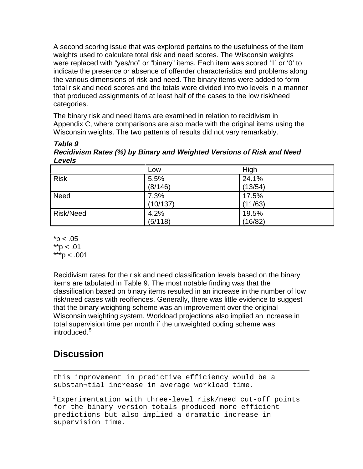A second scoring issue that was explored pertains to the usefulness of the item weights used to calculate total risk and need scores. The Wisconsin weights were replaced with "yes/no" or "binary" items. Each item was scored '1' or '0' to indicate the presence or absence of offender characteristics and problems along the various dimensions of risk and need. The binary items were added to form total risk and need scores and the totals were divided into two levels in a manner that produced assignments of at least half of the cases to the low risk/need categories.

The binary risk and need items are examined in relation to recidivism in Appendix C, where comparisons are also made with the original items using the Wisconsin weights. The two patterns of results did not vary remarkably.

**Table 9 Recidivism Rates (%) by Binary and Weighted Versions of Risk and Need Levels**

|                  | Low      | High    |
|------------------|----------|---------|
| Risk             | 5.5%     | 24.1%   |
|                  | (8/146)  | (13/54) |
| <b>Need</b>      | 7.3%     | 17.5%   |
|                  | (10/137) | (11/63) |
| <b>Risk/Need</b> | 4.2%     | 19.5%   |
|                  | (5/118)  | (16/82) |

 $*$ p < .05  $*$ <sub>r</sub> $> 01$  $***p < .001$ 

Recidivism rates for the risk and need classification levels based on the binary items are tabulated in Table 9. The most notable finding was that the classification based on binary items resulted in an increase in the number of low risk/need cases with reoffences. Generally, there was little evidence to suggest that the binary weighting scheme was an improvement over the original Wisconsin weighting system. Workload projections also implied an increase in total supervision time per month if the unweighted coding scheme was introduced.<sup>5</sup>

# **Discussion**

l this improvement in predictive efficiency would be a substan¬tial increase in average workload time.

 $5$  Experimentation with three-level risk/need cut-off points for the binary version totals produced more efficient predictions but also implied a dramatic increase in supervision time.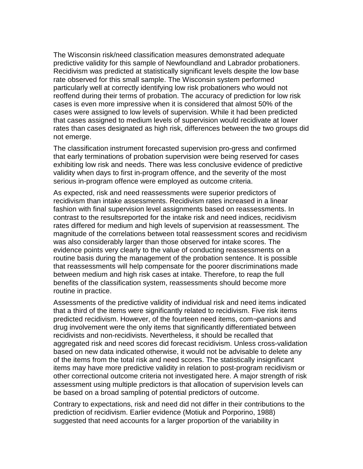The Wisconsin risk/need classification measures demonstrated adequate predictive validity for this sample of Newfoundland and Labrador probationers. Recidivism was predicted at statistically significant levels despite the low base rate observed for this small sample. The Wisconsin system performed particularly well at correctly identifying low risk probationers who would not reoffend during their terms of probation. The accuracy of prediction for low risk cases is even more impressive when it is considered that almost 50% of the cases were assigned to low levels of supervision. While it had been predicted that cases assigned to medium levels of supervision would recidivate at lower rates than cases designated as high risk, differences between the two groups did not emerge.

The classification instrument forecasted supervision pro-gress and confirmed that early terminations of probation supervision were being reserved for cases exhibiting low risk and needs. There was less conclusive evidence of predictive validity when days to first in-program offence, and the severity of the most serious in-program offence were employed as outcome criteria.

As expected, risk and need reassessments were superior predictors of recidivism than intake assessments. Recidivism rates increased in a linear fashion with final supervision level assignments based on reassessments. In contrast to the resultsreported for the intake risk and need indices, recidivism rates differed for medium and high levels of supervision at reassessment. The magnitude of the correlations between total reassessment scores and recidivism was also considerably larger than those observed for intake scores. The evidence points very clearly to the value of conducting reassessments on a routine basis during the management of the probation sentence. It is possible that reassessments will help compensate for the poorer discriminations made between medium and high risk cases at intake. Therefore, to reap the full benefits of the classification system, reassessments should become more routine in practice.

Assessments of the predictive validity of individual risk and need items indicated that a third of the items were significantly related to recidivism. Five risk items predicted recidivism. However, of the fourteen need items, com¬panions and drug involvement were the only items that significantly differentiated between recidivists and non-recidivists. Nevertheless, it should be recalled that aggregated risk and need scores did forecast recidivism. Unless cross-validation based on new data indicated otherwise, it would not be advisable to delete any of the items from the total risk and need scores. The statistically insignificant items may have more predictive validity in relation to post-program recidivism or other correctional outcome criteria not investigated here. A major strength of risk assessment using multiple predictors is that allocation of supervision levels can be based on a broad sampling of potential predictors of outcome.

Contrary to expectations, risk and need did not differ in their contributions to the prediction of recidivism. Earlier evidence (Motiuk and Porporino, 1988) suggested that need accounts for a larger proportion of the variability in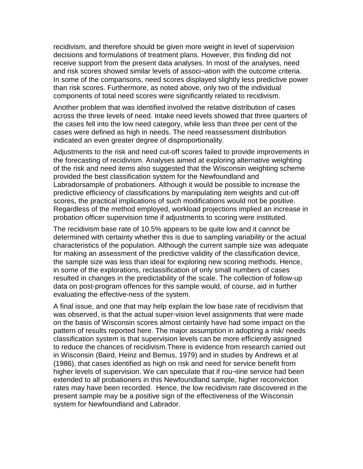recidivism, and therefore should be given more weight in level of supervision decisions and formulations of treatment plans. However, this finding did not receive support from the present data analyses. In most of the analyses, need and risk scores showed similar levels of associ¬ation with the outcome criteria. In some of the comparisons, need scores displayed slightly less predictive power than risk scores. Furthermore, as noted above, only two of the individual components of total need scores were significantly related to recidivism.

Another problem that was identified involved the relative distribution of cases across the three levels of need. Intake need levels showed that three quarters of the cases fell into the low need category, while less than three per cent of the cases were defined as high in needs. The need reassessment distribution indicated an even greater degree of disproportionality.

Adjustments to the risk and need cut-off scores failed to provide improvements in the forecasting of recidivism. Analyses aimed at exploring alternative weighting of the risk and need items also suggested that the Wisconsin weighting scheme provided the best classification system for the Newfoundland and Labradorsample of probationers. Although it would be possible to increase the predictive efficiency of classifications by manipulating item weights and cut-off scores, the practical implications of such modifications would not be positive. Regardless of the method employed, workload projections implied an increase in probation officer supervision time if adjustments to scoring were instituted.

The recidivism base rate of 10.5% appears to be quite low and it cannot be determined with certainty whether this is due to sampling variability or the actual characteristics of the population. Although the current sample size was adequate for making an assessment of the predictive validity of the classification device, the sample size was less than ideal for exploring new scoring methods. Hence, in some of the explorations, reclassification of only small numbers of cases resulted in changes in the predictability of the scale. The collection of follow-up data on post-program offences for this sample would, of course, aid in further evaluating the effective-ness of the system.

A final issue, and one that may help explain the low base rate of recidivism that was observed, is that the actual super-vision level assignments that were made on the basis of Wisconsin scores almost certainly have had some impact on the pattern of results reported here. The major assumption in adopting a risk/ needs classification system is that supervision levels can be more efficiently assigned to reduce the chances of recidivism.There is evidence from research carried out in Wisconsin (Baird, Heinz and Bemus, 1979) and in studies by Andrews et al (1986), that cases identified as high on risk and need for service benefit from higher levels of supervision. We can speculate that if rou-tine service had been extended to all probationers in this Newfoundland sample, higher reconviction rates may have been recorded. Hence, the low recidivism rate discovered in the present sample may be a positive sign of the effectiveness of the Wisconsin system for Newfoundland and Labrador.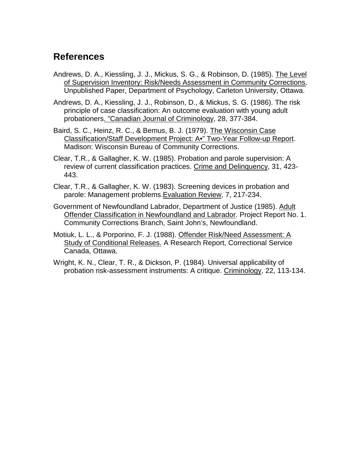### **References**

Andrews, D. A., Kiessling, J. J., Mickus, S. G., & Robinson, D. (1985). The Level of Supervision Inventory: Risk/Needs Assessment in Community Corrections. Unpublished Paper, Department of Psychology, Carleton University, Ottawa.

Andrews, D. A., Kiessling, J. J., Robinson, D., & Mickus, S. G. (1986). The risk principle of case classification: An outcome evaluation with young adult probationers. "Canadian Journal of Criminology, 28, 377-384.

- Baird, S. C., Heinz, R. C., & Bemus, B. J. (1979). The Wisconsin Case Classification/Staff Development Project: A•" Two-Year Follow-up Report. Madison: Wisconsin Bureau of Community Corrections.
- Clear, T.R., & Gallagher, K. W. (1985). Probation and parole supervision: A review of current classification practices. Crime and Delinquency, 31, 423- 443.
- Clear, T.R., & Gallagher, K. W. (1983). Screening devices in probation and parole: Management problems.Evaluation Review, 7, 217-234.
- Government of Newfoundland Labrador, Department of Justice (1985). Adult Offender Classification in Newfoundland and Labrador. Project Report No. 1. Community Corrections Branch, Saint John's, Newfoundland.
- Motiuk, L. L., & Porporino, F. J. (1988). Offender Risk/Need Assessment: A Study of Conditional Releases. A Research Report, Correctional Service Canada, Ottawa.
- Wright, K. N., Clear, T. R., & Dickson, P. (1984). Universal applicability of probation risk-assessment instruments: A critique. Criminology, 22, 113-134.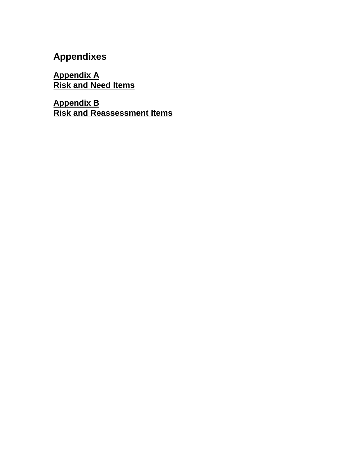# **Appendixes**

**Appendix A Risk and Need Items**

**Appendix B Risk and Reassessment Items**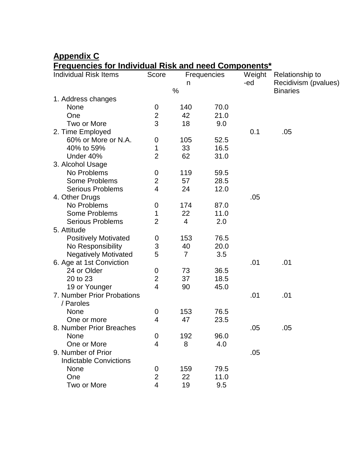## **Appendix C**

### **Frequencies for Individual Risk and need Components\***

| <b>Individual Risk Items</b>  | <u><b>Requestioned for interviewal mon and need components</b></u><br>Score<br>Frequencies |                |      | Weight | Relationship to      |  |
|-------------------------------|--------------------------------------------------------------------------------------------|----------------|------|--------|----------------------|--|
|                               |                                                                                            | n              |      | -ed    | Recidivism (pvalues) |  |
| 1. Address changes            |                                                                                            | %              |      |        | <b>Binaries</b>      |  |
| None                          | 0                                                                                          | 140            | 70.0 |        |                      |  |
| One                           | $\overline{2}$                                                                             | 42             | 21.0 |        |                      |  |
| Two or More                   | 3                                                                                          | 18             | 9.0  |        |                      |  |
| 2. Time Employed              |                                                                                            |                |      | 0.1    | .05                  |  |
| 60% or More or N.A.           | 0                                                                                          | 105            | 52.5 |        |                      |  |
| 40% to 59%                    | 1                                                                                          | 33             | 16.5 |        |                      |  |
| Under 40%                     | $\overline{2}$                                                                             | 62             | 31.0 |        |                      |  |
| 3. Alcohol Usage              |                                                                                            |                |      |        |                      |  |
| No Problems                   | 0                                                                                          | 119            | 59.5 |        |                      |  |
| <b>Some Problems</b>          | $\overline{2}$                                                                             | 57             | 28.5 |        |                      |  |
| <b>Serious Problems</b>       | $\overline{4}$                                                                             | 24             | 12.0 |        |                      |  |
| 4. Other Drugs                |                                                                                            |                |      | .05    |                      |  |
| No Problems                   | 0                                                                                          | 174            | 87.0 |        |                      |  |
| <b>Some Problems</b>          | 1                                                                                          | 22             | 11.0 |        |                      |  |
| <b>Serious Problems</b>       | $\overline{2}$                                                                             | $\overline{4}$ | 2.0  |        |                      |  |
| 5. Attitude                   |                                                                                            |                |      |        |                      |  |
| <b>Positively Motivated</b>   | 0                                                                                          | 153            | 76.5 |        |                      |  |
| No Responsibility             | 3                                                                                          | 40             | 20.0 |        |                      |  |
| <b>Negatively Motivated</b>   | 5                                                                                          | $\overline{7}$ | 3.5  |        |                      |  |
| 6. Age at 1st Conviction      |                                                                                            |                |      | .01    | .01                  |  |
| 24 or Older                   | 0                                                                                          | 73             | 36.5 |        |                      |  |
| 20 to 23                      | $\overline{2}$                                                                             | 37             | 18.5 |        |                      |  |
| 19 or Younger                 | $\overline{4}$                                                                             | 90             | 45.0 |        |                      |  |
| 7. Number Prior Probations    |                                                                                            |                |      | .01    | .01                  |  |
| / Paroles                     |                                                                                            |                |      |        |                      |  |
| None                          | 0                                                                                          | 153            | 76.5 |        |                      |  |
| One or more                   | 4                                                                                          | 47             | 23.5 |        |                      |  |
| 8. Number Prior Breaches      |                                                                                            |                |      | .05    | .05                  |  |
| None                          | 0                                                                                          | 192            | 96.0 |        |                      |  |
| One or More                   | 4                                                                                          | 8              | 4.0  |        |                      |  |
| 9. Number of Prior            |                                                                                            |                |      | .05    |                      |  |
| <b>Indictable Convictions</b> |                                                                                            |                |      |        |                      |  |
| None                          | 0                                                                                          | 159            | 79.5 |        |                      |  |
| One                           | $\overline{2}$                                                                             | 22             | 11.0 |        |                      |  |
| Two or More                   | 4                                                                                          | 19             | 9.5  |        |                      |  |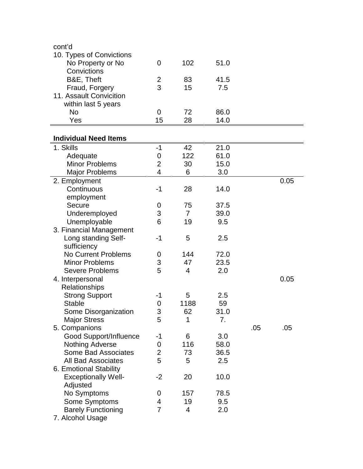| cont'd                        |                |                |      |     |      |  |
|-------------------------------|----------------|----------------|------|-----|------|--|
| 10. Types of Convictions      |                |                |      |     |      |  |
| No Property or No             | $\overline{0}$ | 102            | 51.0 |     |      |  |
| Convictions                   |                |                |      |     |      |  |
| B&E, Theft                    | $\overline{2}$ | 83             | 41.5 |     |      |  |
| Fraud, Forgery                | 3              | 15             | 7.5  |     |      |  |
| 11. Assault Convicition       |                |                |      |     |      |  |
| within last 5 years           |                |                |      |     |      |  |
| No                            | $\overline{0}$ | 72             | 86.0 |     |      |  |
| Yes                           | 15             | 28             | 14.0 |     |      |  |
|                               |                |                |      |     |      |  |
| <b>Individual Need Items</b>  |                |                |      |     |      |  |
| 1. Skills                     | $-1$           | 42             | 21.0 |     |      |  |
| Adequate                      | 0              | 122            | 61.0 |     |      |  |
| <b>Minor Problems</b>         | $\overline{2}$ | 30             | 15.0 |     |      |  |
| <b>Major Problems</b>         | $\overline{4}$ | 6              | 3.0  |     |      |  |
| 2. Employment                 |                |                |      |     | 0.05 |  |
| Continuous                    | $-1$           | 28             | 14.0 |     |      |  |
| employment                    |                |                |      |     |      |  |
| Secure                        | 0              | 75             | 37.5 |     |      |  |
| Underemployed                 | 3              | $\overline{7}$ | 39.0 |     |      |  |
| Unemployable                  | 6              | 19             | 9.5  |     |      |  |
| 3. Financial Management       |                |                |      |     |      |  |
| Long standing Self-           | $-1$           | 5              | 2.5  |     |      |  |
| sufficiency                   |                |                |      |     |      |  |
| <b>No Current Problems</b>    | 0              | 144            | 72.0 |     |      |  |
| <b>Minor Problems</b>         | 3              | 47             | 23.5 |     |      |  |
| <b>Severe Problems</b>        | 5              | 4              | 2.0  |     |      |  |
| 4. Interpersonal              |                |                |      |     | 0.05 |  |
| Relationships                 |                |                |      |     |      |  |
| <b>Strong Support</b>         | $-1$           | 5              | 2.5  |     |      |  |
| <b>Stable</b>                 | 0              | 1188           | 59   |     |      |  |
| Some Disorganization          | 3              | 62             | 31.0 |     |      |  |
| <b>Major Stress</b>           | 5              | 1              | 7.   |     |      |  |
| 5. Companions                 |                |                |      | .05 | .05  |  |
| <b>Good Support/Influence</b> | $-1$           | 6              | 3.0  |     |      |  |
| <b>Nothing Adverse</b>        | 0              | 116            | 58.0 |     |      |  |
| <b>Some Bad Associates</b>    | $\overline{2}$ | 73             | 36.5 |     |      |  |
| <b>All Bad Associates</b>     | 5              | 5              |      |     |      |  |
|                               |                |                | 2.5  |     |      |  |
| 6. Emotional Stability        |                |                |      |     |      |  |
| <b>Exceptionally Well-</b>    | $-2$           | 20             | 10.0 |     |      |  |
| Adjusted                      |                |                |      |     |      |  |
| No Symptoms                   | 0              | 157            | 78.5 |     |      |  |
| Some Symptoms                 | 4              | 19             | 9.5  |     |      |  |
| <b>Barely Functioning</b>     | $\overline{7}$ | 4              | 2.0  |     |      |  |
| 7. Alcohol Usage              |                |                |      |     |      |  |